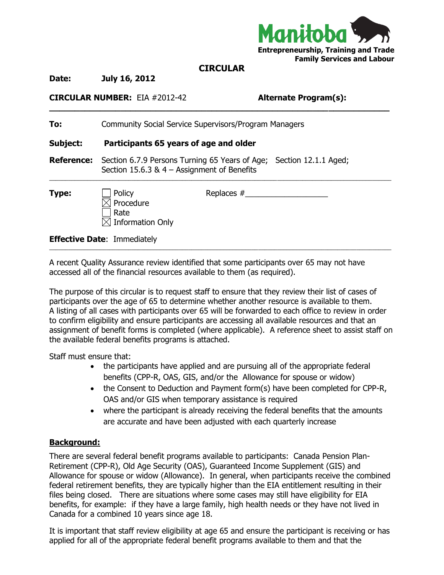

## **CIRCULAR**

**\_\_\_\_\_\_\_\_\_\_\_\_\_\_\_\_\_\_\_\_\_\_\_\_\_\_\_\_\_\_\_\_\_\_\_\_\_\_\_\_\_\_\_\_\_\_\_\_\_\_\_\_\_\_\_\_\_\_\_\_\_\_\_\_\_\_\_**

**Date: July 16, 2012**

## **CIRCULAR NUMBER:** EIA #2012-42 **Alternate Program(s):**

| To:               | <b>Community Social Service Supervisors/Program Managers</b>                                                         |              |  |
|-------------------|----------------------------------------------------------------------------------------------------------------------|--------------|--|
| Subject:          | Participants 65 years of age and older                                                                               |              |  |
| <b>Reference:</b> | Section 6.7.9 Persons Turning 65 Years of Age; Section 12.1.1 Aged;<br>Section 15.6.3 & $4 -$ Assignment of Benefits |              |  |
| Type:             | Policy<br>Procedure<br>Rate<br><b>Information Only</b>                                                               | Replaces $#$ |  |
|                   | <b>Effective Date: Immediately</b>                                                                                   |              |  |

\_\_\_\_\_\_\_\_\_\_\_\_\_\_\_\_\_\_\_\_\_\_\_\_\_\_\_\_\_\_\_\_\_\_\_\_\_\_\_\_\_\_\_\_\_\_\_\_\_\_\_\_\_\_\_\_\_\_\_\_\_\_\_\_\_\_\_\_\_\_\_\_\_\_\_\_\_\_\_\_\_\_\_\_\_\_\_\_\_\_\_\_\_\_\_\_\_\_\_\_\_\_\_\_\_\_\_\_

A recent Quality Assurance review identified that some participants over 65 may not have accessed all of the financial resources available to them (as required).

The purpose of this circular is to request staff to ensure that they review their list of cases of participants over the age of 65 to determine whether another resource is available to them. A listing of all cases with participants over 65 will be forwarded to each office to review in order to confirm eligibility and ensure participants are accessing all available resources and that an assignment of benefit forms is completed (where applicable). A reference sheet to assist staff on the available federal benefits programs is attached.

Staff must ensure that:

- the participants have applied and are pursuing all of the appropriate federal benefits (CPP-R, OAS, GIS, and/or the Allowance for spouse or widow)
- the Consent to Deduction and Payment form(s) have been completed for CPP-R, OAS and/or GIS when temporary assistance is required
- where the participant is already receiving the federal benefits that the amounts are accurate and have been adjusted with each quarterly increase

## **Background:**

There are several federal benefit programs available to participants: Canada Pension Plan-Retirement (CPP-R), Old Age Security (OAS), Guaranteed Income Supplement (GIS) and Allowance for spouse or widow (Allowance). In general, when participants receive the combined federal retirement benefits, they are typically higher than the EIA entitlement resulting in their files being closed. There are situations where some cases may still have eligibility for EIA benefits, for example: if they have a large family, high health needs or they have not lived in Canada for a combined 10 years since age 18.

It is important that staff review eligibility at age 65 and ensure the participant is receiving or has applied for all of the appropriate federal benefit programs available to them and that the